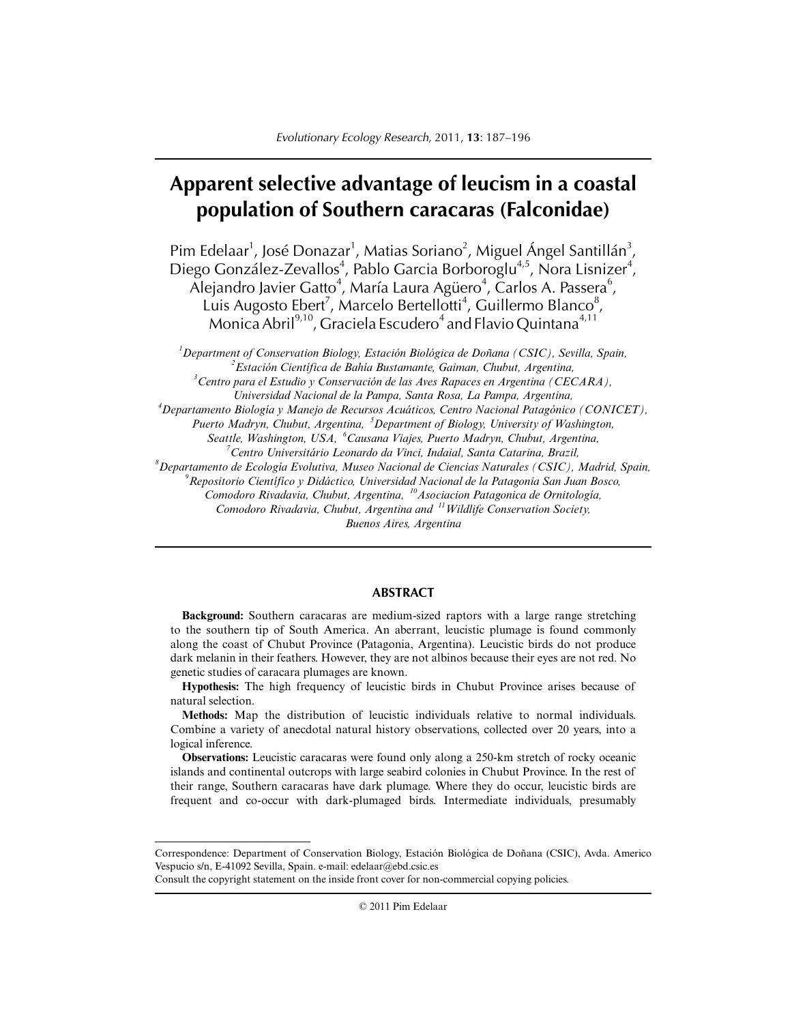# **Apparent selective advantage of leucism in a coastal population of Southern caracaras (Falconidae)**

Pim Edelaar<sup>1</sup>, José Donazar<sup>1</sup>, Matias Soriano<sup>2</sup>, Miguel Ángel Santillán<sup>3</sup>, Diego González-Zevallos<sup>4</sup>, Pablo Garcia Borboroglu<sup>4,5</sup>, Nora Lisnizer<sup>4</sup>,  $\tilde{\text{A}}$ lejandro Javier Gatto<sup>4</sup>, María Laura Agüero<sup>4</sup>, Carlos A. Passera<sup>6</sup>, Luis Augosto Ebert<sup>7</sup>, Marcelo Bertellotti<sup>4</sup>, Guillermo Blanco<sup>8</sup>, Monica Abril $^{9,10}$ , Graciela Escudero $^4$  and Flavio Quintana $^{4,11}$ 

*1 Department of Conservation Biology, Estación Biológica de Doñana (CSIC), Sevilla, Spain, 2 Estación Científica de Bahía Bustamante, Gaiman, Chubut, Argentina, 3 Centro para el Estudio y Conservación de las Aves Rapaces en Argentina (CECARA), Universidad Nacional de la Pampa, Santa Rosa, La Pampa, Argentina, 4 Departamento Biología y Manejo de Recursos Acuáticos, Centro Nacional Patagónico (CONICET), Puerto Madryn, Chubut, Argentina, <sup>5</sup> Department of Biology, University of Washington, Seattle, Washington, USA, <sup>6</sup> Causana Viajes, Puerto Madryn, Chubut, Argentina, 7 Centro Universitário Leonardo da Vinci, Indaial, Santa Catarina, Brazil, 8 Departamento de Ecología Evolutiva, Museo Nacional de Ciencias Naturales (CSIC), Madrid, Spain, 9 Repositorio Científíco y Didáctico, Universidad Nacional de la Patagonia San Juan Bosco, Comodoro Rivadavia, Chubut, Argentina, 10Asociacion Patagonica de Ornitología, Comodoro Rivadavia, Chubut, Argentina and 11Wildlife Conservation Society, Buenos Aires, Argentina*

# **ABSTRACT**

**Background:** Southern caracaras are medium-sized raptors with a large range stretching to the southern tip of South America. An aberrant, leucistic plumage is found commonly along the coast of Chubut Province (Patagonia, Argentina). Leucistic birds do not produce dark melanin in their feathers. However, they are not albinos because their eyes are not red. No genetic studies of caracara plumages are known.

**Hypothesis:** The high frequency of leucistic birds in Chubut Province arises because of natural selection.

**Methods:** Map the distribution of leucistic individuals relative to normal individuals. Combine a variety of anecdotal natural history observations, collected over 20 years, into a logical inference.

**Observations:** Leucistic caracaras were found only along a 250-km stretch of rocky oceanic islands and continental outcrops with large seabird colonies in Chubut Province. In the rest of their range, Southern caracaras have dark plumage. Where they do occur, leucistic birds are frequent and co-occur with dark-plumaged birds. Intermediate individuals, presumably

© 2011 Pim Edelaar

Correspondence: Department of Conservation Biology, Estación Biológica de Doñana (CSIC), Avda. Americo Vespucio s/n, E-41092 Sevilla, Spain. e-mail: edelaar@ebd.csic.es

Consult the copyright statement on the inside front cover for non-commercial copying policies.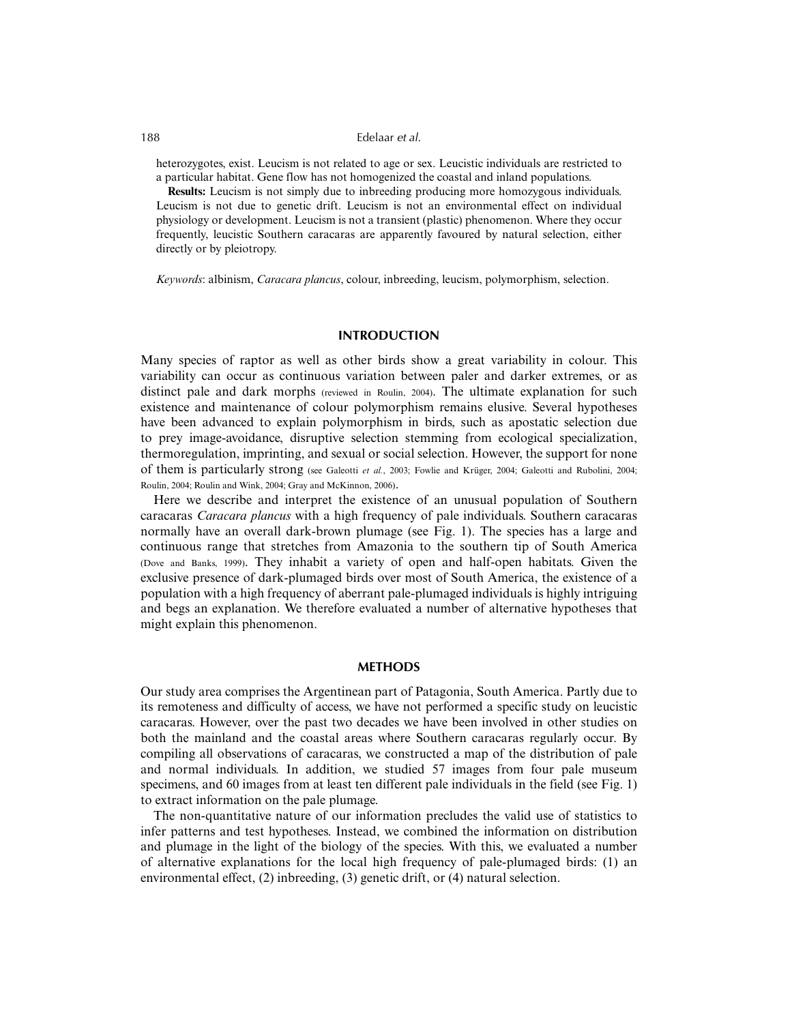heterozygotes, exist. Leucism is not related to age or sex. Leucistic individuals are restricted to a particular habitat. Gene flow has not homogenized the coastal and inland populations.

**Results:** Leucism is not simply due to inbreeding producing more homozygous individuals. Leucism is not due to genetic drift. Leucism is not an environmental effect on individual physiology or development. Leucism is not a transient (plastic) phenomenon. Where they occur frequently, leucistic Southern caracaras are apparently favoured by natural selection, either directly or by pleiotropy.

*Keywords*: albinism, *Caracara plancus*, colour, inbreeding, leucism, polymorphism, selection.

# **INTRODUCTION**

Many species of raptor as well as other birds show a great variability in colour. This variability can occur as continuous variation between paler and darker extremes, or as distinct pale and dark morphs (reviewed in Roulin, 2004). The ultimate explanation for such existence and maintenance of colour polymorphism remains elusive. Several hypotheses have been advanced to explain polymorphism in birds, such as apostatic selection due to prey image-avoidance, disruptive selection stemming from ecological specialization, thermoregulation, imprinting, and sexual or social selection. However, the support for none of them is particularly strong (see Galeotti *et al.*, 2003; Fowlie and Krüger, 2004; Galeotti and Rubolini, 2004; Roulin, 2004; Roulin and Wink, 2004; Gray and McKinnon, 2006).

Here we describe and interpret the existence of an unusual population of Southern caracaras *Caracara plancus* with a high frequency of pale individuals. Southern caracaras normally have an overall dark-brown plumage (see Fig. 1). The species has a large and continuous range that stretches from Amazonia to the southern tip of South America (Dove and Banks, 1999). They inhabit a variety of open and half-open habitats. Given the exclusive presence of dark-plumaged birds over most of South America, the existence of a population with a high frequency of aberrant pale-plumaged individuals is highly intriguing and begs an explanation. We therefore evaluated a number of alternative hypotheses that might explain this phenomenon.

# **METHODS**

Our study area comprises the Argentinean part of Patagonia, South America. Partly due to its remoteness and difficulty of access, we have not performed a specific study on leucistic caracaras. However, over the past two decades we have been involved in other studies on both the mainland and the coastal areas where Southern caracaras regularly occur. By compiling all observations of caracaras, we constructed a map of the distribution of pale and normal individuals. In addition, we studied 57 images from four pale museum specimens, and 60 images from at least ten different pale individuals in the field (see Fig. 1) to extract information on the pale plumage.

The non-quantitative nature of our information precludes the valid use of statistics to infer patterns and test hypotheses. Instead, we combined the information on distribution and plumage in the light of the biology of the species. With this, we evaluated a number of alternative explanations for the local high frequency of pale-plumaged birds: (1) an environmental effect, (2) inbreeding, (3) genetic drift, or (4) natural selection.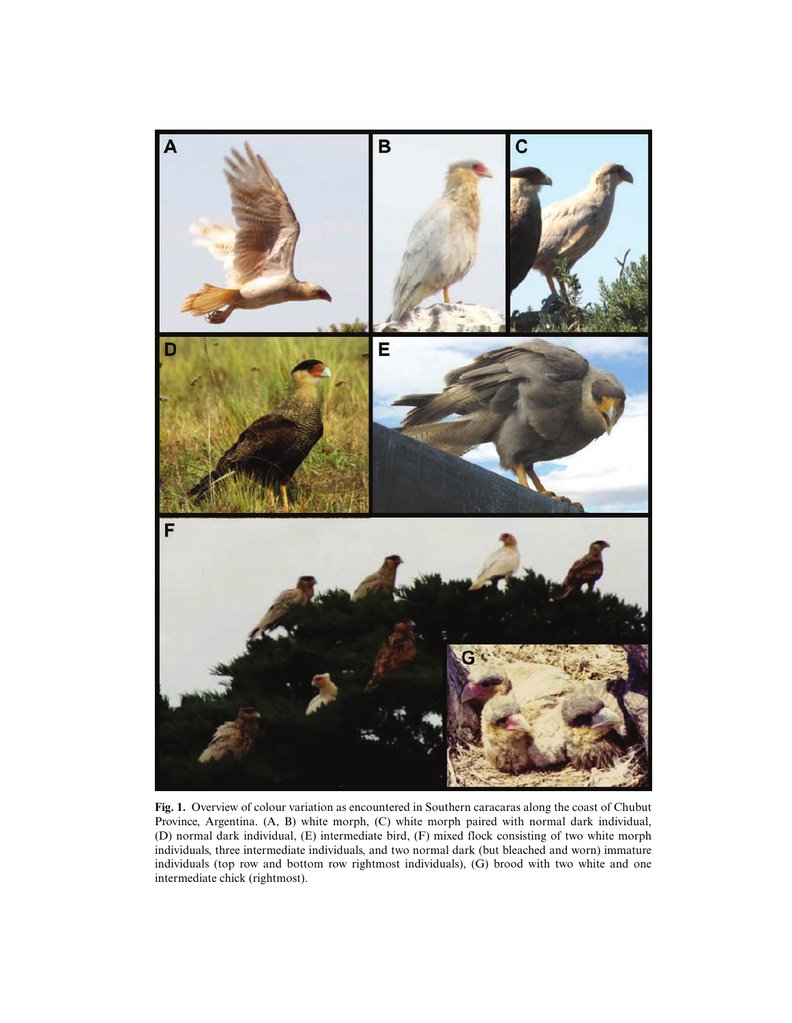

**Fig. 1.** Overview of colour variation as encountered in Southern caracaras along the coast of Chubut Province, Argentina. (A, B) white morph, (C) white morph paired with normal dark individual, (D) normal dark individual, (E) intermediate bird, (F) mixed flock consisting of two white morph individuals, three intermediate individuals, and two normal dark (but bleached and worn) immature individuals (top row and bottom row rightmost individuals), (G) brood with two white and one intermediate chick (rightmost).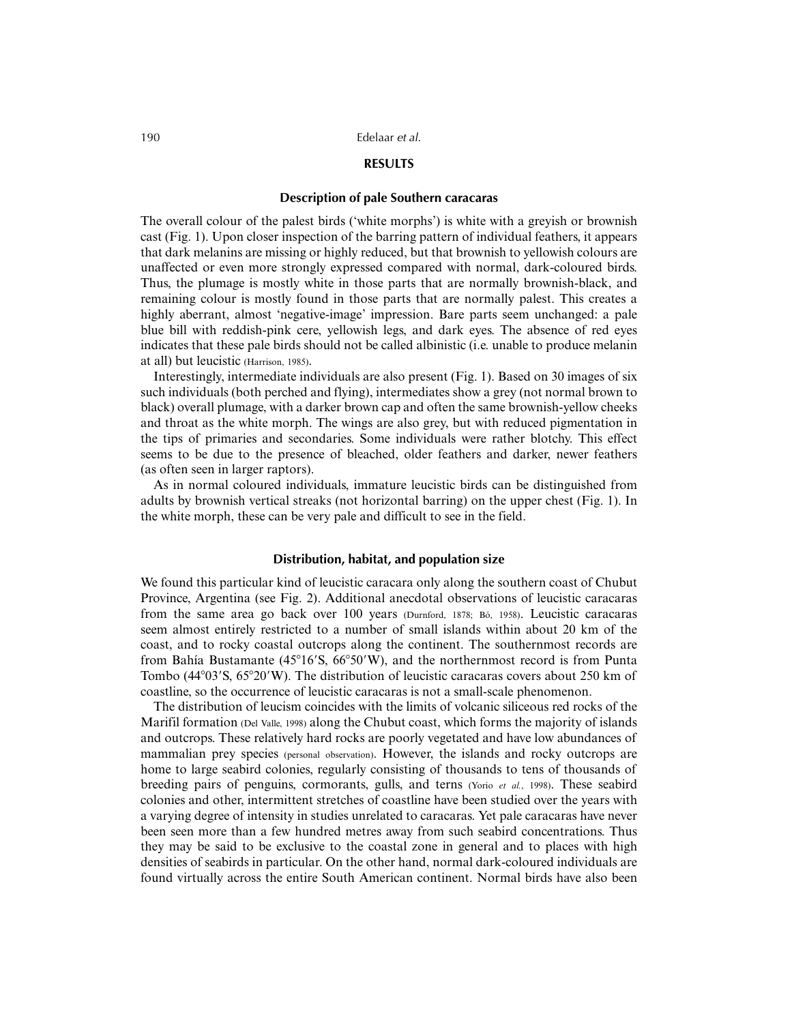# **RESULTS**

# **Description of pale Southern caracaras**

The overall colour of the palest birds ('white morphs') is white with a greyish or brownish cast (Fig. 1). Upon closer inspection of the barring pattern of individual feathers, it appears that dark melanins are missing or highly reduced, but that brownish to yellowish colours are unaffected or even more strongly expressed compared with normal, dark-coloured birds. Thus, the plumage is mostly white in those parts that are normally brownish-black, and remaining colour is mostly found in those parts that are normally palest. This creates a highly aberrant, almost 'negative-image' impression. Bare parts seem unchanged: a pale blue bill with reddish-pink cere, yellowish legs, and dark eyes. The absence of red eyes indicates that these pale birds should not be called albinistic (i.e. unable to produce melanin at all) but leucistic (Harrison, 1985).

Interestingly, intermediate individuals are also present (Fig. 1). Based on 30 images of six such individuals (both perched and flying), intermediates show a grey (not normal brown to black) overall plumage, with a darker brown cap and often the same brownish-yellow cheeks and throat as the white morph. The wings are also grey, but with reduced pigmentation in the tips of primaries and secondaries. Some individuals were rather blotchy. This effect seems to be due to the presence of bleached, older feathers and darker, newer feathers (as often seen in larger raptors).

As in normal coloured individuals, immature leucistic birds can be distinguished from adults by brownish vertical streaks (not horizontal barring) on the upper chest (Fig. 1). In the white morph, these can be very pale and difficult to see in the field.

# **Distribution, habitat, and population size**

We found this particular kind of leucistic caracara only along the southern coast of Chubut Province, Argentina (see Fig. 2). Additional anecdotal observations of leucistic caracaras from the same area go back over 100 years (Durnford, 1878; Bó, 1958). Leucistic caracaras seem almost entirely restricted to a number of small islands within about 20 km of the coast, and to rocky coastal outcrops along the continent. The southernmost records are from Bahía Bustamante (45°16′S, 66°50′W), and the northernmost record is from Punta Tombo (44°03′S, 65°20′W). The distribution of leucistic caracaras covers about 250 km of coastline, so the occurrence of leucistic caracaras is not a small-scale phenomenon.

The distribution of leucism coincides with the limits of volcanic siliceous red rocks of the Marifil formation (Del Valle, 1998) along the Chubut coast, which forms the majority of islands and outcrops. These relatively hard rocks are poorly vegetated and have low abundances of mammalian prey species (personal observation). However, the islands and rocky outcrops are home to large seabird colonies, regularly consisting of thousands to tens of thousands of breeding pairs of penguins, cormorants, gulls, and terns (Yorio *et al.*, 1998). These seabird colonies and other, intermittent stretches of coastline have been studied over the years with a varying degree of intensity in studies unrelated to caracaras. Yet pale caracaras have never been seen more than a few hundred metres away from such seabird concentrations. Thus they may be said to be exclusive to the coastal zone in general and to places with high densities of seabirds in particular. On the other hand, normal dark-coloured individuals are found virtually across the entire South American continent. Normal birds have also been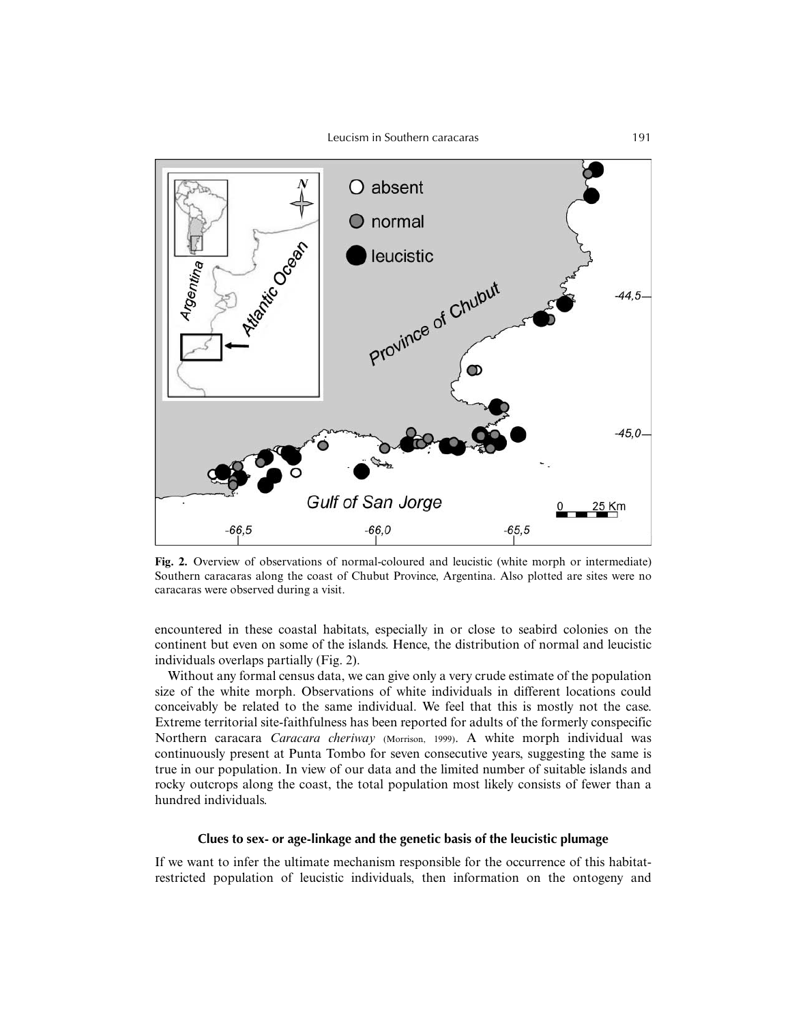

**Fig. 2.** Overview of observations of normal-coloured and leucistic (white morph or intermediate) Southern caracaras along the coast of Chubut Province, Argentina. Also plotted are sites were no caracaras were observed during a visit.

encountered in these coastal habitats, especially in or close to seabird colonies on the continent but even on some of the islands. Hence, the distribution of normal and leucistic individuals overlaps partially (Fig. 2).

Without any formal census data, we can give only a very crude estimate of the population size of the white morph. Observations of white individuals in different locations could conceivably be related to the same individual. We feel that this is mostly not the case. Extreme territorial site-faithfulness has been reported for adults of the formerly conspecific Northern caracara *Caracara cheriway* (Morrison, 1999). A white morph individual was continuously present at Punta Tombo for seven consecutive years, suggesting the same is true in our population. In view of our data and the limited number of suitable islands and rocky outcrops along the coast, the total population most likely consists of fewer than a hundred individuals.

# **Clues to sex- or age-linkage and the genetic basis of the leucistic plumage**

If we want to infer the ultimate mechanism responsible for the occurrence of this habitatrestricted population of leucistic individuals, then information on the ontogeny and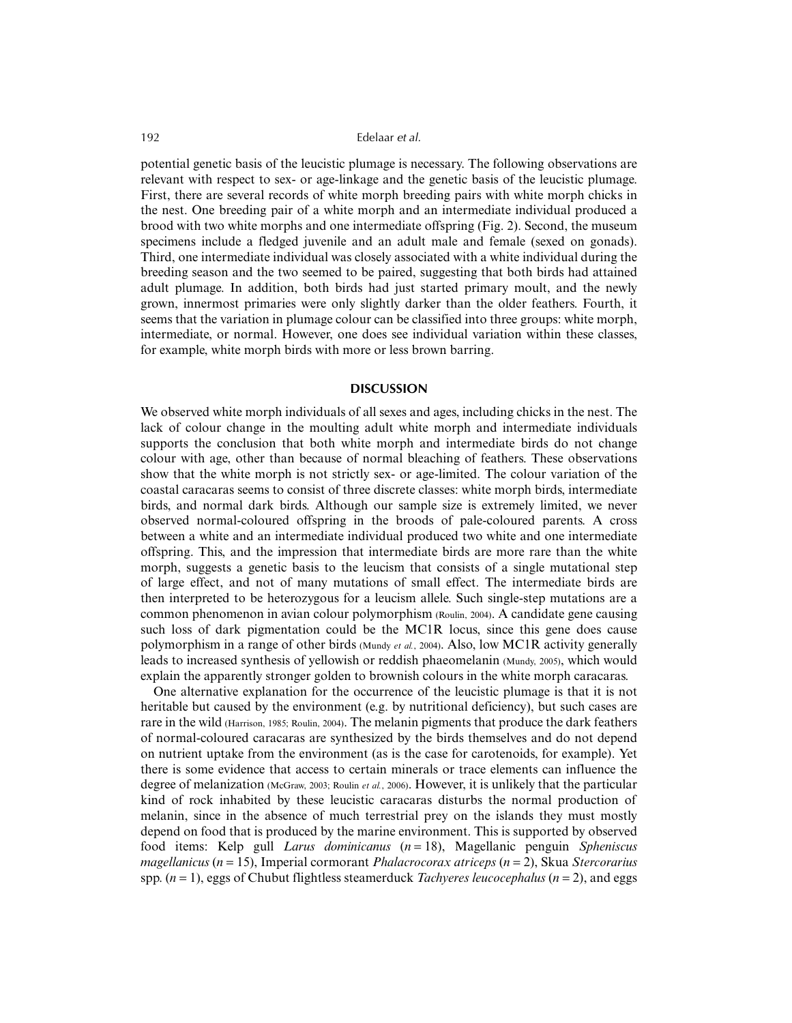potential genetic basis of the leucistic plumage is necessary. The following observations are relevant with respect to sex- or age-linkage and the genetic basis of the leucistic plumage. First, there are several records of white morph breeding pairs with white morph chicks in the nest. One breeding pair of a white morph and an intermediate individual produced a brood with two white morphs and one intermediate offspring (Fig. 2). Second, the museum specimens include a fledged juvenile and an adult male and female (sexed on gonads). Third, one intermediate individual was closely associated with a white individual during the breeding season and the two seemed to be paired, suggesting that both birds had attained adult plumage. In addition, both birds had just started primary moult, and the newly grown, innermost primaries were only slightly darker than the older feathers. Fourth, it seems that the variation in plumage colour can be classified into three groups: white morph, intermediate, or normal. However, one does see individual variation within these classes, for example, white morph birds with more or less brown barring.

# **DISCUSSION**

We observed white morph individuals of all sexes and ages, including chicks in the nest. The lack of colour change in the moulting adult white morph and intermediate individuals supports the conclusion that both white morph and intermediate birds do not change colour with age, other than because of normal bleaching of feathers. These observations show that the white morph is not strictly sex- or age-limited. The colour variation of the coastal caracaras seems to consist of three discrete classes: white morph birds, intermediate birds, and normal dark birds. Although our sample size is extremely limited, we never observed normal-coloured offspring in the broods of pale-coloured parents. A cross between a white and an intermediate individual produced two white and one intermediate offspring. This, and the impression that intermediate birds are more rare than the white morph, suggests a genetic basis to the leucism that consists of a single mutational step of large effect, and not of many mutations of small effect. The intermediate birds are then interpreted to be heterozygous for a leucism allele. Such single-step mutations are a common phenomenon in avian colour polymorphism (Roulin, 2004). A candidate gene causing such loss of dark pigmentation could be the MC1R locus, since this gene does cause polymorphism in a range of other birds (Mundy *et al.*, 2004). Also, low MC1R activity generally leads to increased synthesis of yellowish or reddish phaeomelanin (Mundy, 2005), which would explain the apparently stronger golden to brownish colours in the white morph caracaras.

One alternative explanation for the occurrence of the leucistic plumage is that it is not heritable but caused by the environment (e.g. by nutritional deficiency), but such cases are rare in the wild (Harrison, 1985; Roulin, 2004). The melanin pigments that produce the dark feathers of normal-coloured caracaras are synthesized by the birds themselves and do not depend on nutrient uptake from the environment (as is the case for carotenoids, for example). Yet there is some evidence that access to certain minerals or trace elements can influence the degree of melanization (McGraw, 2003; Roulin *et al.*, 2006). However, it is unlikely that the particular kind of rock inhabited by these leucistic caracaras disturbs the normal production of melanin, since in the absence of much terrestrial prey on the islands they must mostly depend on food that is produced by the marine environment. This is supported by observed food items: Kelp gull *Larus dominicanus* (*n* = 18), Magellanic penguin *Spheniscus magellanicus* (*n* = 15), Imperial cormorant *Phalacrocorax atriceps* (*n* = 2), Skua *Stercorarius* spp. (*n* = 1), eggs of Chubut flightless steamerduck *Tachyeres leucocephalus* (*n* = 2), and eggs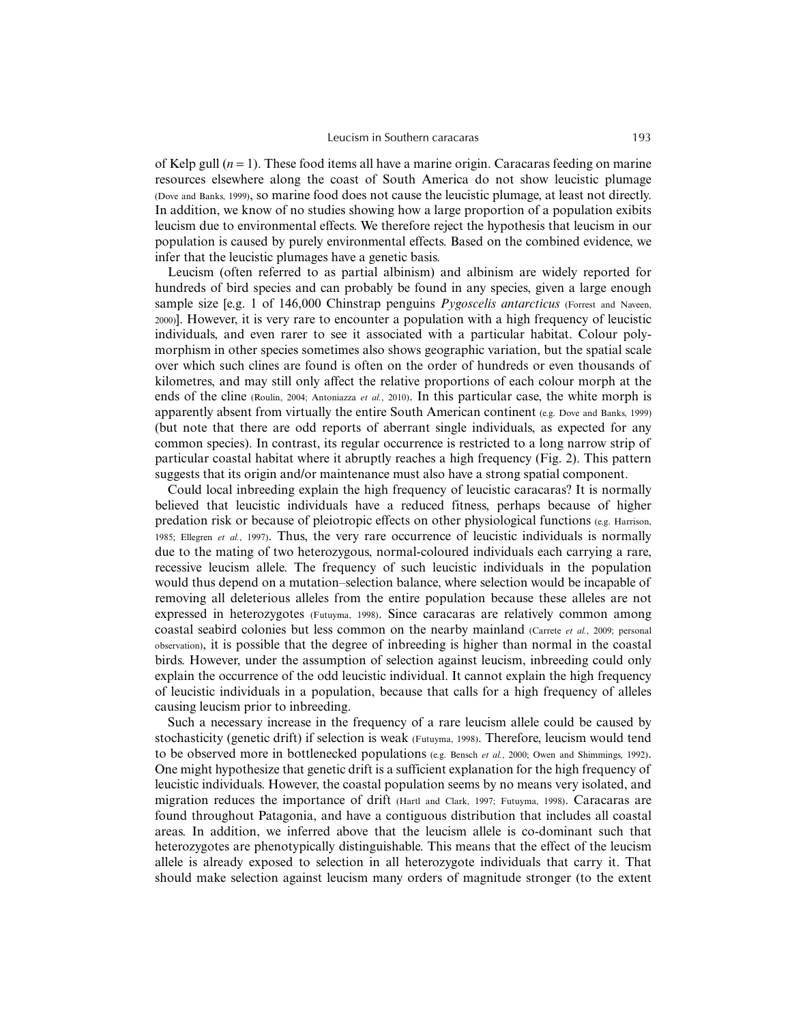of Kelp gull  $(n = 1)$ . These food items all have a marine origin. Caracaras feeding on marine resources elsewhere along the coast of South America do not show leucistic plumage (Dove and Banks, 1999), so marine food does not cause the leucistic plumage, at least not directly. In addition, we know of no studies showing how a large proportion of a population exibits leucism due to environmental effects. We therefore reject the hypothesis that leucism in our population is caused by purely environmental effects. Based on the combined evidence, we infer that the leucistic plumages have a genetic basis.

Leucism (often referred to as partial albinism) and albinism are widely reported for hundreds of bird species and can probably be found in any species, given a large enough sample size [e.g. 1 of 146,000 Chinstrap penguins *Pygoscelis antarcticus* (Forrest and Naveen, 2000)]. However, it is very rare to encounter a population with a high frequency of leucistic individuals, and even rarer to see it associated with a particular habitat. Colour polymorphism in other species sometimes also shows geographic variation, but the spatial scale over which such clines are found is often on the order of hundreds or even thousands of kilometres, and may still only affect the relative proportions of each colour morph at the ends of the cline (Roulin, 2004; Antoniazza *et al.*, 2010). In this particular case, the white morph is apparently absent from virtually the entire South American continent (e.g. Dove and Banks, 1999) (but note that there are odd reports of aberrant single individuals, as expected for any common species). In contrast, its regular occurrence is restricted to a long narrow strip of particular coastal habitat where it abruptly reaches a high frequency (Fig. 2). This pattern suggests that its origin and/or maintenance must also have a strong spatial component.

Could local inbreeding explain the high frequency of leucistic caracaras? It is normally believed that leucistic individuals have a reduced fitness, perhaps because of higher predation risk or because of pleiotropic effects on other physiological functions (e.g. Harrison, 1985; Ellegren *et al.*, 1997). Thus, the very rare occurrence of leucistic individuals is normally due to the mating of two heterozygous, normal-coloured individuals each carrying a rare, recessive leucism allele. The frequency of such leucistic individuals in the population would thus depend on a mutation–selection balance, where selection would be incapable of removing all deleterious alleles from the entire population because these alleles are not expressed in heterozygotes (Futuyma, 1998). Since caracaras are relatively common among coastal seabird colonies but less common on the nearby mainland (Carrete *et al.*, 2009; personal observation), it is possible that the degree of inbreeding is higher than normal in the coastal birds. However, under the assumption of selection against leucism, inbreeding could only explain the occurrence of the odd leucistic individual. It cannot explain the high frequency of leucistic individuals in a population, because that calls for a high frequency of alleles causing leucism prior to inbreeding.

Such a necessary increase in the frequency of a rare leucism allele could be caused by stochasticity (genetic drift) if selection is weak (Futuyma, 1998). Therefore, leucism would tend to be observed more in bottlenecked populations (e.g. Bensch et al., 2000; Owen and Shimmings, 1992). One might hypothesize that genetic drift is a sufficient explanation for the high frequency of leucistic individuals. However, the coastal population seems by no means very isolated, and migration reduces the importance of drift (Hartl and Clark, 1997; Futuyma, 1998). Caracaras are found throughout Patagonia, and have a contiguous distribution that includes all coastal areas. In addition, we inferred above that the leucism allele is co-dominant such that heterozygotes are phenotypically distinguishable. This means that the effect of the leucism allele is already exposed to selection in all heterozygote individuals that carry it. That should make selection against leucism many orders of magnitude stronger (to the extent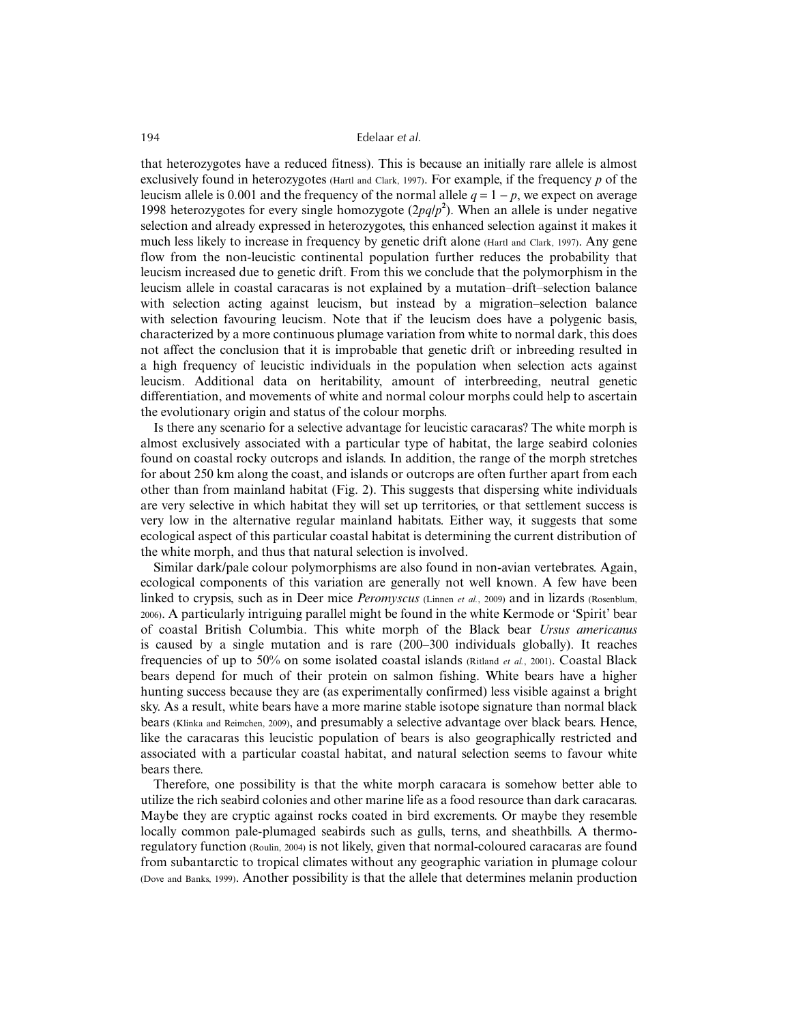that heterozygotes have a reduced fitness). This is because an initially rare allele is almost exclusively found in heterozygotes (Hartl and Clark, 1997). For example, if the frequency *p* of the leucism allele is 0.001 and the frequency of the normal allele  $q = 1 - p$ , we expect on average 1998 heterozygotes for every single homozygote  $(2pq/p^2)$ . When an allele is under negative selection and already expressed in heterozygotes, this enhanced selection against it makes it much less likely to increase in frequency by genetic drift alone (Hartl and Clark, 1997). Any gene flow from the non-leucistic continental population further reduces the probability that leucism increased due to genetic drift. From this we conclude that the polymorphism in the leucism allele in coastal caracaras is not explained by a mutation–drift–selection balance with selection acting against leucism, but instead by a migration–selection balance with selection favouring leucism. Note that if the leucism does have a polygenic basis, characterized by a more continuous plumage variation from white to normal dark, this does not affect the conclusion that it is improbable that genetic drift or inbreeding resulted in a high frequency of leucistic individuals in the population when selection acts against leucism. Additional data on heritability, amount of interbreeding, neutral genetic differentiation, and movements of white and normal colour morphs could help to ascertain the evolutionary origin and status of the colour morphs.

Is there any scenario for a selective advantage for leucistic caracaras? The white morph is almost exclusively associated with a particular type of habitat, the large seabird colonies found on coastal rocky outcrops and islands. In addition, the range of the morph stretches for about 250 km along the coast, and islands or outcrops are often further apart from each other than from mainland habitat (Fig. 2). This suggests that dispersing white individuals are very selective in which habitat they will set up territories, or that settlement success is very low in the alternative regular mainland habitats. Either way, it suggests that some ecological aspect of this particular coastal habitat is determining the current distribution of the white morph, and thus that natural selection is involved.

Similar dark/pale colour polymorphisms are also found in non-avian vertebrates. Again, ecological components of this variation are generally not well known. A few have been linked to crypsis, such as in Deer mice *Peromyscus* (Linnen *et al.*, 2009) and in lizards (Rosenblum, 2006). A particularly intriguing parallel might be found in the white Kermode or 'Spirit' bear of coastal British Columbia. This white morph of the Black bear *Ursus americanus* is caused by a single mutation and is rare (200–300 individuals globally). It reaches frequencies of up to 50% on some isolated coastal islands (Ritland *et al.*, 2001). Coastal Black bears depend for much of their protein on salmon fishing. White bears have a higher hunting success because they are (as experimentally confirmed) less visible against a bright sky. As a result, white bears have a more marine stable isotope signature than normal black bears (Klinka and Reimchen, 2009), and presumably a selective advantage over black bears. Hence, like the caracaras this leucistic population of bears is also geographically restricted and associated with a particular coastal habitat, and natural selection seems to favour white bears there.

Therefore, one possibility is that the white morph caracara is somehow better able to utilize the rich seabird colonies and other marine life as a food resource than dark caracaras. Maybe they are cryptic against rocks coated in bird excrements. Or maybe they resemble locally common pale-plumaged seabirds such as gulls, terns, and sheathbills. A thermoregulatory function (Roulin, 2004) is not likely, given that normal-coloured caracaras are found from subantarctic to tropical climates without any geographic variation in plumage colour (Dove and Banks, 1999). Another possibility is that the allele that determines melanin production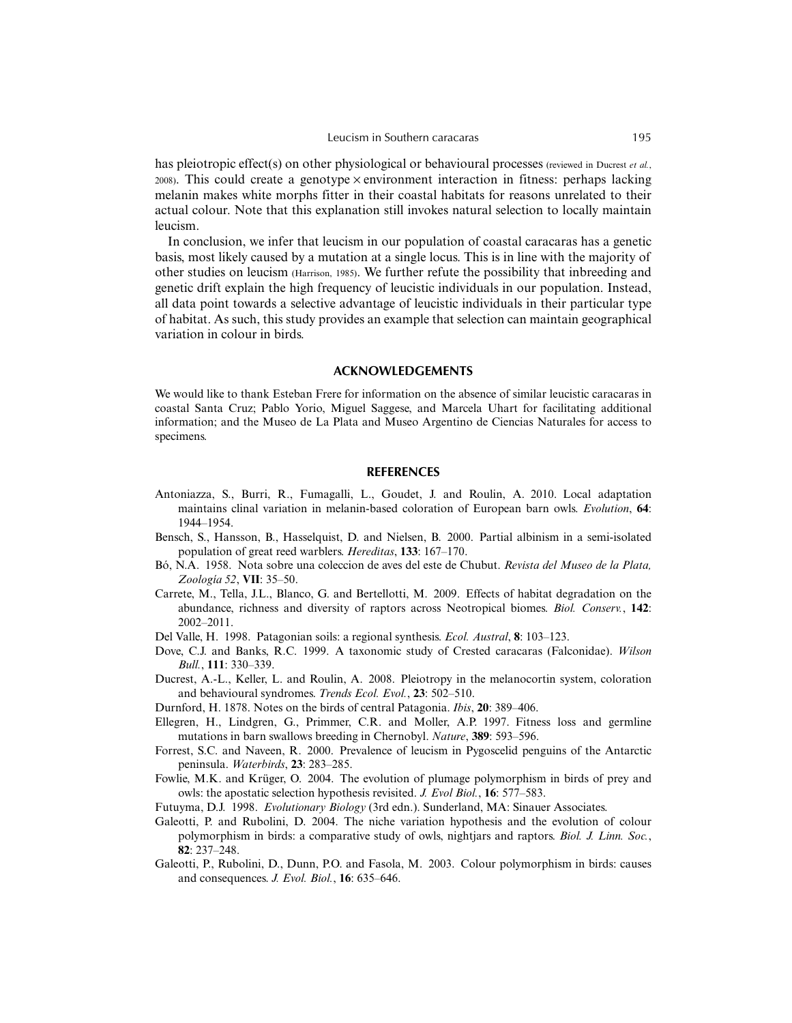#### Leucism in Southern caracaras 195

has pleiotropic effect(s) on other physiological or behavioural processes (reviewed in Ducrest *et al.*,  $2008$ ). This could create a genotype  $\times$  environment interaction in fitness: perhaps lacking melanin makes white morphs fitter in their coastal habitats for reasons unrelated to their actual colour. Note that this explanation still invokes natural selection to locally maintain leucism.

In conclusion, we infer that leucism in our population of coastal caracaras has a genetic basis, most likely caused by a mutation at a single locus. This is in line with the majority of other studies on leucism (Harrison, 1985). We further refute the possibility that inbreeding and genetic drift explain the high frequency of leucistic individuals in our population. Instead, all data point towards a selective advantage of leucistic individuals in their particular type of habitat. As such, this study provides an example that selection can maintain geographical variation in colour in birds.

#### **ACKNOWLEDGEMENTS**

We would like to thank Esteban Frere for information on the absence of similar leucistic caracaras in coastal Santa Cruz; Pablo Yorio, Miguel Saggese, and Marcela Uhart for facilitating additional information; and the Museo de La Plata and Museo Argentino de Ciencias Naturales for access to specimens.

#### **REFERENCES**

- Antoniazza, S., Burri, R., Fumagalli, L., Goudet, J. and Roulin, A. 2010. Local adaptation maintains clinal variation in melanin-based coloration of European barn owls. *Evolution*, **64**: 1944–1954.
- Bensch, S., Hansson, B., Hasselquist, D. and Nielsen, B. 2000. Partial albinism in a semi-isolated population of great reed warblers. *Hereditas*, **133**: 167–170.
- Bó, N.A. 1958. Nota sobre una coleccion de aves del este de Chubut. *Revista del Museo de la Plata, Zoología 52*, **VII**: 35–50.
- Carrete, M., Tella, J.L., Blanco, G. and Bertellotti, M. 2009. Effects of habitat degradation on the abundance, richness and diversity of raptors across Neotropical biomes. *Biol. Conserv.*, **142**: 2002–2011.
- Del Valle, H. 1998. Patagonian soils: a regional synthesis. *Ecol. Austral*, **8**: 103–123.
- Dove, C.J. and Banks, R.C. 1999. A taxonomic study of Crested caracaras (Falconidae). *Wilson Bull.*, **111**: 330–339.
- Ducrest, A.-L., Keller, L. and Roulin, A. 2008. Pleiotropy in the melanocortin system, coloration and behavioural syndromes. *Trends Ecol. Evol.*, **23**: 502–510.
- Durnford, H. 1878. Notes on the birds of central Patagonia. *Ibis*, **20**: 389–406.
- Ellegren, H., Lindgren, G., Primmer, C.R. and Moller, A.P. 1997. Fitness loss and germline mutations in barn swallows breeding in Chernobyl. *Nature*, **389**: 593–596.
- Forrest, S.C. and Naveen, R. 2000. Prevalence of leucism in Pygoscelid penguins of the Antarctic peninsula. *Waterbirds*, **23**: 283–285.
- Fowlie, M.K. and Krüger, O. 2004. The evolution of plumage polymorphism in birds of prey and owls: the apostatic selection hypothesis revisited. *J. Evol Biol.*, **16**: 577–583.
- Futuyma, D.J. 1998. *Evolutionary Biology* (3rd edn.). Sunderland, MA: Sinauer Associates.
- Galeotti, P. and Rubolini, D. 2004. The niche variation hypothesis and the evolution of colour polymorphism in birds: a comparative study of owls, nightjars and raptors. *Biol. J. Linn. Soc.*, **82**: 237–248.
- Galeotti, P., Rubolini, D., Dunn, P.O. and Fasola, M. 2003. Colour polymorphism in birds: causes and consequences. *J. Evol. Biol.*, **16**: 635–646.